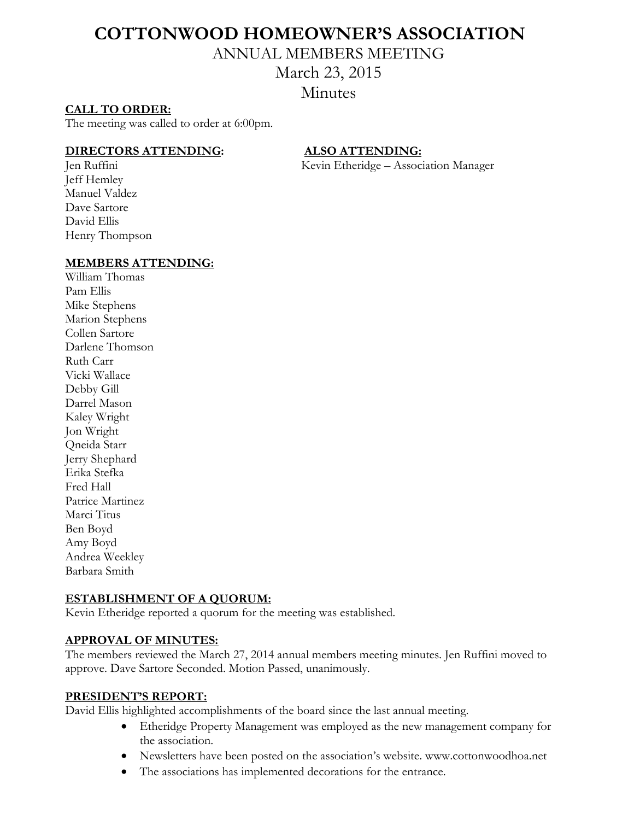# **COTTONWOOD HOMEOWNER'S ASSOCIATION**

ANNUAL MEMBERS MEETING

# March 23, 2015

**Minutes** 

# **CALL TO ORDER:**

The meeting was called to order at 6:00pm.

#### **DIRECTORS ATTENDING: ALSO ATTENDING:**

Jen Ruffini Kevin Etheridge – Association Manager

Jeff Hemley Manuel Valdez Dave Sartore David Ellis Henry Thompson

# **MEMBERS ATTENDING:**

William Thomas Pam Ellis Mike Stephens Marion Stephens Collen Sartore Darlene Thomson Ruth Carr Vicki Wallace Debby Gill Darrel Mason Kaley Wright Jon Wright Qneida Starr Jerry Shephard Erika Stefka Fred Hall Patrice Martinez Marci Titus Ben Boyd Amy Boyd Andrea Weekley Barbara Smith

# **ESTABLISHMENT OF A QUORUM:**

Kevin Etheridge reported a quorum for the meeting was established.

# **APPROVAL OF MINUTES:**

The members reviewed the March 27, 2014 annual members meeting minutes. Jen Ruffini moved to approve. Dave Sartore Seconded. Motion Passed, unanimously.

#### **PRESIDENT'S REPORT:**

David Ellis highlighted accomplishments of the board since the last annual meeting.

- Etheridge Property Management was employed as the new management company for the association.
- Newsletters have been posted on the association's website. www.cottonwoodhoa.net
- The associations has implemented decorations for the entrance.